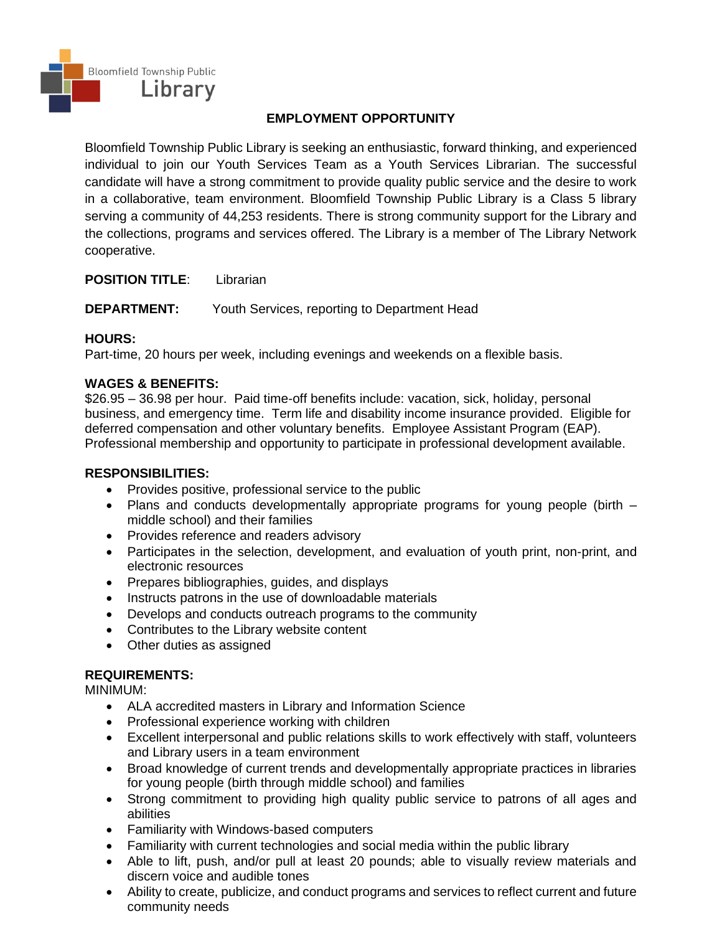

### **EMPLOYMENT OPPORTUNITY**

Bloomfield Township Public Library is seeking an enthusiastic, forward thinking, and experienced individual to join our Youth Services Team as a Youth Services Librarian. The successful candidate will have a strong commitment to provide quality public service and the desire to work in a collaborative, team environment. Bloomfield Township Public Library is a Class 5 library serving a community of 44,253 residents. There is strong community support for the Library and the collections, programs and services offered. The Library is a member of The Library Network cooperative.

**POSITION TITLE**: Librarian

**DEPARTMENT:** Youth Services, reporting to Department Head

## **HOURS:**

Part-time, 20 hours per week, including evenings and weekends on a flexible basis.

## **WAGES & BENEFITS:**

\$26.95 – 36.98 per hour. Paid time-off benefits include: vacation, sick, holiday, personal business, and emergency time. Term life and disability income insurance provided. Eligible for deferred compensation and other voluntary benefits. Employee Assistant Program (EAP). Professional membership and opportunity to participate in professional development available.

### **RESPONSIBILITIES:**

- Provides positive, professional service to the public
- Plans and conducts developmentally appropriate programs for young people (birth middle school) and their families
- Provides reference and readers advisory
- Participates in the selection, development, and evaluation of youth print, non-print, and electronic resources
- Prepares bibliographies, guides, and displays
- Instructs patrons in the use of downloadable materials
- Develops and conducts outreach programs to the community
- Contributes to the Library website content
- Other duties as assigned

# **REQUIREMENTS:**

MINIMUM:

- ALA accredited masters in Library and Information Science
- Professional experience working with children
- Excellent interpersonal and public relations skills to work effectively with staff, volunteers and Library users in a team environment
- Broad knowledge of current trends and developmentally appropriate practices in libraries for young people (birth through middle school) and families
- Strong commitment to providing high quality public service to patrons of all ages and abilities
- Familiarity with Windows-based computers
- Familiarity with current technologies and social media within the public library
- Able to lift, push, and/or pull at least 20 pounds; able to visually review materials and discern voice and audible tones
- Ability to create, publicize, and conduct programs and services to reflect current and future community needs